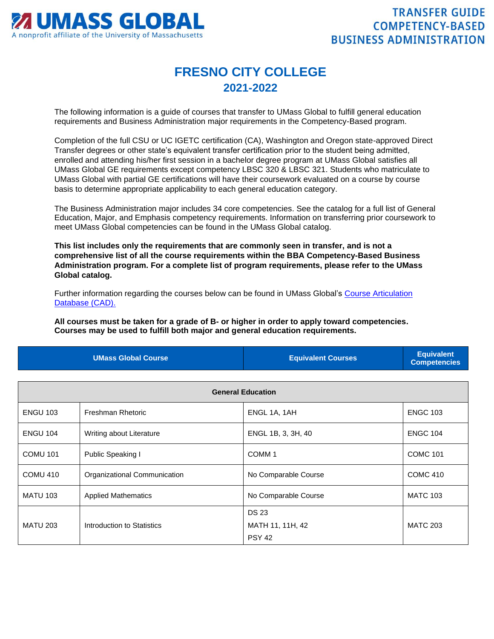

## **FRESNO CITY COLLEGE 2021-2022**

The following information is a guide of courses that transfer to UMass Global to fulfill general education requirements and Business Administration major requirements in the Competency-Based program.

Completion of the full CSU or UC IGETC certification (CA), Washington and Oregon state-approved Direct Transfer degrees or other state's equivalent transfer certification prior to the student being admitted, enrolled and attending his/her first session in a bachelor degree program at UMass Global satisfies all UMass Global GE requirements except competency LBSC 320 & LBSC 321. Students who matriculate to UMass Global with partial GE certifications will have their coursework evaluated on a course by course basis to determine appropriate applicability to each general education category.

The Business Administration major includes 34 core competencies. See the catalog for a full list of General Education, Major, and Emphasis competency requirements. Information on transferring prior coursework to meet UMass Global competencies can be found in the UMass Global catalog.

**This list includes only the requirements that are commonly seen in transfer, and is not a comprehensive list of all the course requirements within the BBA Competency-Based Business Administration program. For a complete list of program requirements, please refer to the UMass Global catalog.**

Further information regarding the courses below can be found in UMass Global's [Course Articulation](http://services.umassglobal.edu/studentservices/TransferCredit/)  [Database \(CAD\).](http://services.umassglobal.edu/studentservices/TransferCredit/) 

**All courses must be taken for a grade of B- or higher in order to apply toward competencies. Courses may be used to fulfill both major and general education requirements.** 

| <b>UMass Global Course</b> | <b>Equivalent Courses</b> | <b>Equivalent</b><br><b>Competencies</b> |
|----------------------------|---------------------------|------------------------------------------|
|                            |                           |                                          |

| <b>General Education</b> |                              |                                                   |                 |
|--------------------------|------------------------------|---------------------------------------------------|-----------------|
| <b>ENGU 103</b>          | Freshman Rhetoric            | ENGL 1A, 1AH                                      | <b>ENGC 103</b> |
| <b>ENGU 104</b>          | Writing about Literature     | ENGL 1B, 3, 3H, 40                                | <b>ENGC 104</b> |
| <b>COMU 101</b>          | Public Speaking I            | COMM <sub>1</sub>                                 | <b>COMC 101</b> |
| COMU <sub>410</sub>      | Organizational Communication | No Comparable Course                              | <b>COMC 410</b> |
| <b>MATU 103</b>          | <b>Applied Mathematics</b>   | No Comparable Course                              | <b>MATC 103</b> |
| <b>MATU 203</b>          | Introduction to Statistics   | <b>DS 23</b><br>MATH 11, 11H, 42<br><b>PSY 42</b> | <b>MATC 203</b> |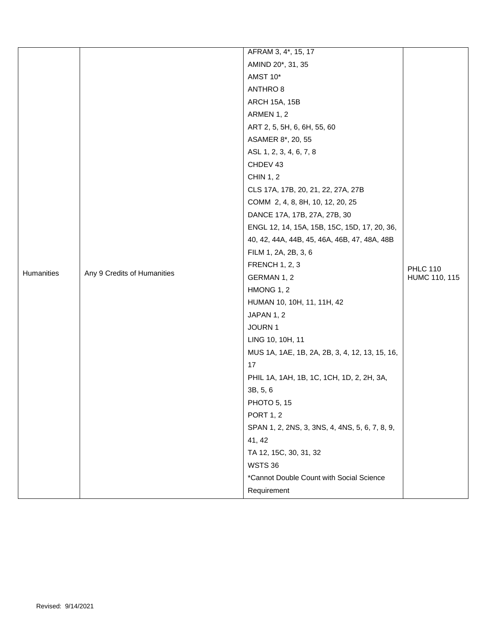|            |                             | AFRAM 3, 4*, 15, 17                            |                 |
|------------|-----------------------------|------------------------------------------------|-----------------|
|            |                             | AMIND 20*, 31, 35                              |                 |
|            |                             | AMST 10*                                       |                 |
|            |                             | ANTHRO 8                                       |                 |
|            |                             | <b>ARCH 15A, 15B</b>                           |                 |
|            |                             | ARMEN 1, 2                                     |                 |
|            |                             | ART 2, 5, 5H, 6, 6H, 55, 60                    |                 |
|            |                             | ASAMER 8*, 20, 55                              |                 |
|            |                             | ASL 1, 2, 3, 4, 6, 7, 8                        |                 |
|            |                             | CHDEV 43                                       |                 |
|            |                             | <b>CHIN 1, 2</b>                               |                 |
|            |                             | CLS 17A, 17B, 20, 21, 22, 27A, 27B             |                 |
|            |                             | COMM 2, 4, 8, 8H, 10, 12, 20, 25               |                 |
|            |                             | DANCE 17A, 17B, 27A, 27B, 30                   |                 |
|            |                             | ENGL 12, 14, 15A, 15B, 15C, 15D, 17, 20, 36,   |                 |
|            |                             | 40, 42, 44A, 44B, 45, 46A, 46B, 47, 48A, 48B   |                 |
|            |                             | FILM 1, 2A, 2B, 3, 6                           |                 |
|            |                             | <b>FRENCH 1, 2, 3</b>                          | <b>PHLC 110</b> |
| Humanities | Any 9 Credits of Humanities | GERMAN 1, 2                                    | HUMC 110, 115   |
|            |                             | HMONG 1, 2                                     |                 |
|            |                             | HUMAN 10, 10H, 11, 11H, 42                     |                 |
|            |                             | JAPAN 1, 2                                     |                 |
|            |                             | JOURN 1                                        |                 |
|            |                             | LING 10, 10H, 11                               |                 |
|            |                             | MUS 1A, 1AE, 1B, 2A, 2B, 3, 4, 12, 13, 15, 16, |                 |
|            |                             | 17                                             |                 |
|            |                             | PHIL 1A, 1AH, 1B, 1C, 1CH, 1D, 2, 2H, 3A,      |                 |
|            |                             | 3B, 5, 6                                       |                 |
|            |                             | PHOTO 5, 15                                    |                 |
|            |                             | <b>PORT 1, 2</b>                               |                 |
|            |                             | SPAN 1, 2, 2NS, 3, 3NS, 4, 4NS, 5, 6, 7, 8, 9, |                 |
|            |                             | 41, 42                                         |                 |
|            |                             | TA 12, 15C, 30, 31, 32                         |                 |
|            |                             | <b>WSTS 36</b>                                 |                 |
|            |                             | *Cannot Double Count with Social Science       |                 |
|            |                             | Requirement                                    |                 |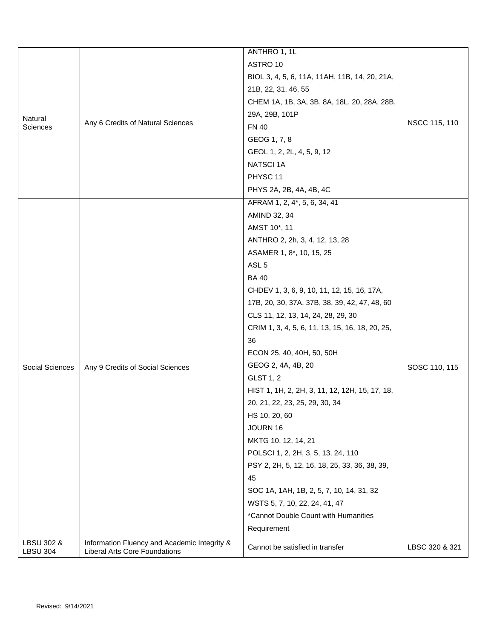|                               |                                                                                      | ANTHRO 1, 1L                                    |                |
|-------------------------------|--------------------------------------------------------------------------------------|-------------------------------------------------|----------------|
|                               |                                                                                      | ASTRO 10                                        | NSCC 115, 110  |
|                               |                                                                                      | BIOL 3, 4, 5, 6, 11A, 11AH, 11B, 14, 20, 21A,   |                |
|                               |                                                                                      | 21B, 22, 31, 46, 55                             |                |
|                               |                                                                                      | CHEM 1A, 1B, 3A, 3B, 8A, 18L, 20, 28A, 28B,     |                |
| Natural                       |                                                                                      | 29A, 29B, 101P                                  |                |
| Sciences                      | Any 6 Credits of Natural Sciences                                                    | <b>FN 40</b>                                    |                |
|                               |                                                                                      | GEOG 1, 7, 8                                    |                |
|                               |                                                                                      | GEOL 1, 2, 2L, 4, 5, 9, 12                      |                |
|                               |                                                                                      | <b>NATSCI1A</b>                                 |                |
|                               |                                                                                      | PHYSC <sub>11</sub>                             |                |
|                               |                                                                                      | PHYS 2A, 2B, 4A, 4B, 4C                         |                |
|                               |                                                                                      | AFRAM 1, 2, 4*, 5, 6, 34, 41                    |                |
|                               |                                                                                      | AMIND 32, 34                                    |                |
|                               |                                                                                      | AMST 10*, 11                                    |                |
|                               |                                                                                      | ANTHRO 2, 2h, 3, 4, 12, 13, 28                  |                |
|                               |                                                                                      | ASAMER 1, 8*, 10, 15, 25                        |                |
|                               |                                                                                      | ASL <sub>5</sub>                                |                |
|                               |                                                                                      | <b>BA40</b>                                     |                |
|                               |                                                                                      | CHDEV 1, 3, 6, 9, 10, 11, 12, 15, 16, 17A,      |                |
|                               |                                                                                      | 17B, 20, 30, 37A, 37B, 38, 39, 42, 47, 48, 60   |                |
|                               |                                                                                      | CLS 11, 12, 13, 14, 24, 28, 29, 30              |                |
|                               |                                                                                      | CRIM 1, 3, 4, 5, 6, 11, 13, 15, 16, 18, 20, 25, |                |
|                               |                                                                                      | 36                                              |                |
|                               |                                                                                      | ECON 25, 40, 40H, 50, 50H                       |                |
| Social Sciences               | Any 9 Credits of Social Sciences                                                     | GEOG 2, 4A, 4B, 20                              | SOSC 110, 115  |
|                               |                                                                                      | <b>GLST 1, 2</b>                                |                |
|                               |                                                                                      | HIST 1, 1H, 2, 2H, 3, 11, 12, 12H, 15, 17, 18,  |                |
|                               |                                                                                      | 20, 21, 22, 23, 25, 29, 30, 34                  |                |
|                               |                                                                                      | HS 10, 20, 60                                   |                |
|                               |                                                                                      | JOURN 16                                        |                |
|                               |                                                                                      | MKTG 10, 12, 14, 21                             |                |
|                               |                                                                                      | POLSCI 1, 2, 2H, 3, 5, 13, 24, 110              |                |
|                               |                                                                                      | PSY 2, 2H, 5, 12, 16, 18, 25, 33, 36, 38, 39,   |                |
|                               |                                                                                      | 45                                              |                |
|                               |                                                                                      | SOC 1A, 1AH, 1B, 2, 5, 7, 10, 14, 31, 32        |                |
|                               |                                                                                      | WSTS 5, 7, 10, 22, 24, 41, 47                   |                |
|                               |                                                                                      | *Cannot Double Count with Humanities            |                |
|                               |                                                                                      | Requirement                                     |                |
| LBSU 302 &<br><b>LBSU 304</b> | Information Fluency and Academic Integrity &<br><b>Liberal Arts Core Foundations</b> | Cannot be satisfied in transfer                 | LBSC 320 & 321 |